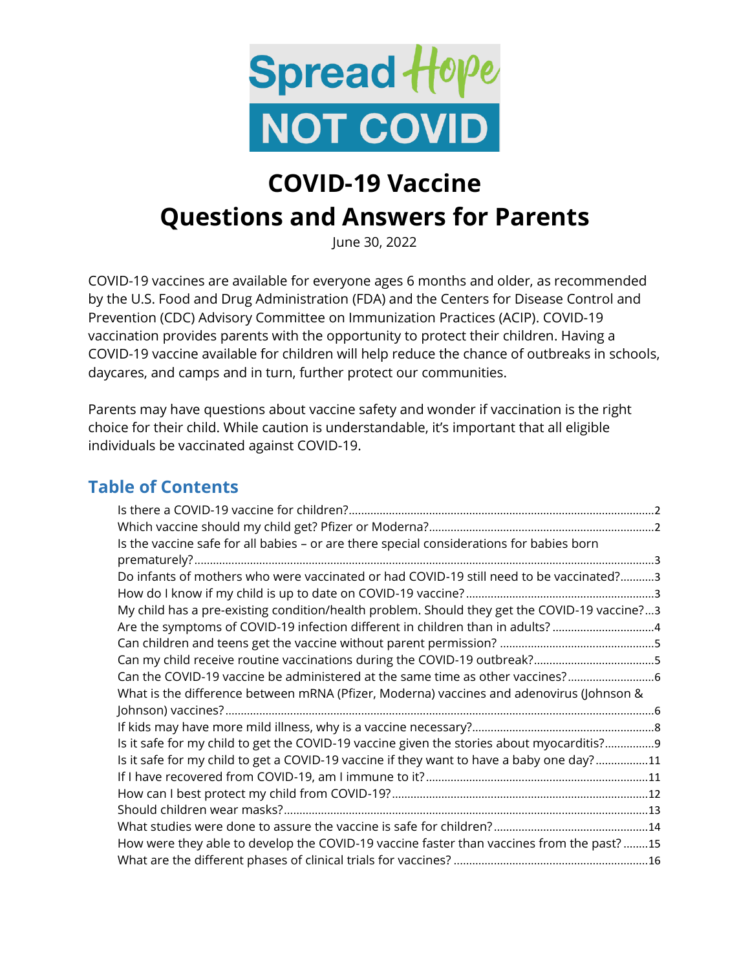

# **COVID-19 Vaccine Questions and Answers for Parents**

June 30, 2022

COVID-19 vaccines are available for everyone ages 6 months and older, as recommended by the U.S. Food and Drug Administration (FDA) and the Centers for Disease Control and Prevention (CDC) Advisory Committee on Immunization Practices (ACIP). COVID-19 vaccination provides parents with the opportunity to protect their children. Having a COVID-19 vaccine available for children will help reduce the chance of outbreaks in schools, daycares, and camps and in turn, further protect our communities.

Parents may have questions about vaccine safety and wonder if vaccination is the right choice for their child. While caution is understandable, it's important that all eligible individuals be vaccinated against COVID-19.

#### **Table of Contents**

| Is the vaccine safe for all babies - or are there special considerations for babies born     |
|----------------------------------------------------------------------------------------------|
|                                                                                              |
| Do infants of mothers who were vaccinated or had COVID-19 still need to be vaccinated?3      |
|                                                                                              |
| My child has a pre-existing condition/health problem. Should they get the COVID-19 vaccine?3 |
| Are the symptoms of COVID-19 infection different in children than in adults?4                |
|                                                                                              |
|                                                                                              |
| Can the COVID-19 vaccine be administered at the same time as other vaccines?                 |
| What is the difference between mRNA (Pfizer, Moderna) vaccines and adenovirus (Johnson &     |
|                                                                                              |
|                                                                                              |
| Is it safe for my child to get the COVID-19 vaccine given the stories about myocarditis?9    |
| Is it safe for my child to get a COVID-19 vaccine if they want to have a baby one day?11     |
|                                                                                              |
|                                                                                              |
|                                                                                              |
|                                                                                              |
| How were they able to develop the COVID-19 vaccine faster than vaccines from the past?15     |
|                                                                                              |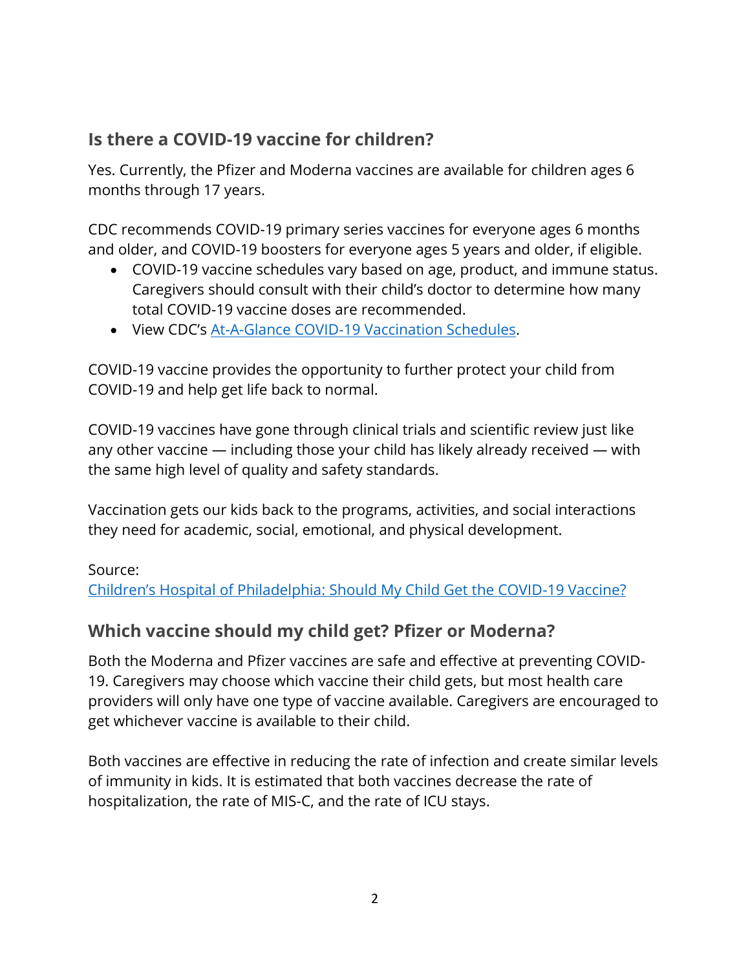### <span id="page-1-0"></span>**Is there a COVID-19 vaccine for children?**

Yes. Currently, the Pfizer and Moderna vaccines are available for children ages 6 months through 17 years.

CDC recommends COVID-19 primary series vaccines for everyone ages 6 months and older, and COVID-19 boosters for everyone ages 5 years and older, if eligible.

- COVID-19 vaccine schedules vary based on age, product, and immune status. Caregivers should consult with their child's doctor to determine how many total COVID-19 vaccine doses are recommended.
- View CDC's [At-A-Glance COVID-19 Vaccination Schedules.](https://www.cdc.gov/vaccines/covid-19/downloads/COVID-19-vacc-schedule-at-a-glance-508.pdf)

COVID-19 vaccine provides the opportunity to further protect your child from COVID-19 and help get life back to normal.

COVID-19 vaccines have gone through clinical trials and scientific review just like any other vaccine — including those your child has likely already received — with the same high level of quality and safety standards.

Vaccination gets our kids back to the programs, activities, and social interactions they need for academic, social, emotional, and physical development.

Source:

Ch[ildren's Hospital of Philadelphia: Should My Child Get the COVID](https://www.chop.edu/news/health-tips/should-my-child-get-covid-19-vaccine)-19 Vaccine?

# <span id="page-1-1"></span>**Which vaccine should my child get? Pfizer or Moderna?**

Both the Moderna and Pfizer vaccines are safe and effective at preventing COVID-19. Caregivers may choose which vaccine their child gets, but most health care providers will only have one type of vaccine available. Caregivers are encouraged to get whichever vaccine is available to their child.

Both vaccines are effective in reducing the rate of infection and create similar levels of immunity in kids. It is estimated that both vaccines decrease the rate of hospitalization, the rate of MIS-C, and the rate of ICU stays.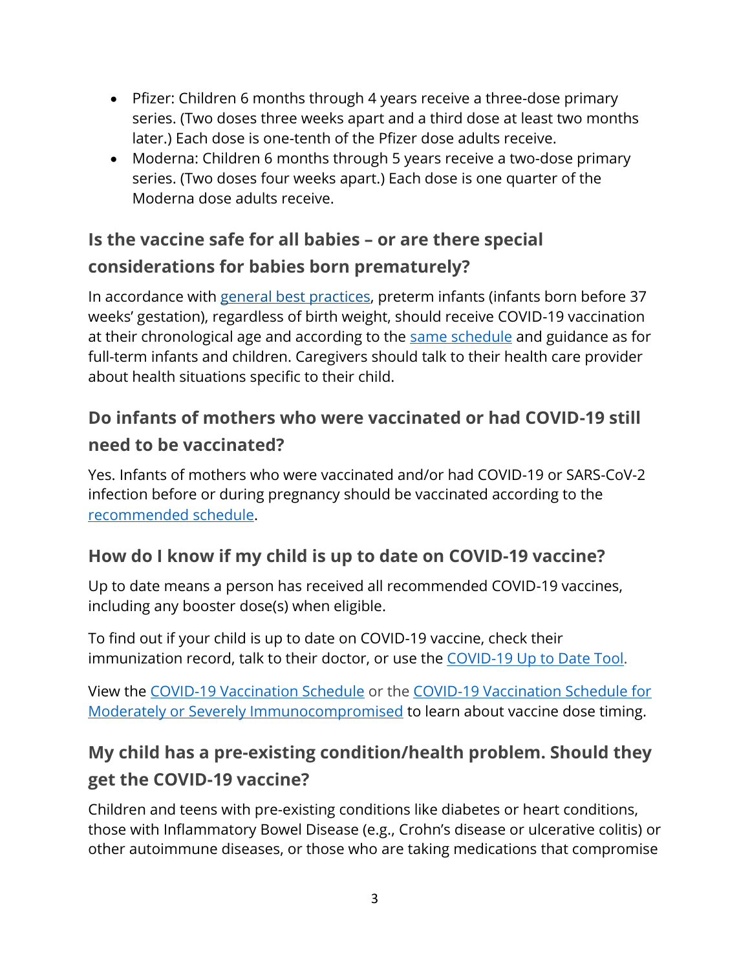- Pfizer: Children 6 months through 4 years receive a three-dose primary series. (Two doses three weeks apart and a third dose at least two months later.) Each dose is one-tenth of the Pfizer dose adults receive.
- Moderna: Children 6 months through 5 years receive a two-dose primary series. (Two doses four weeks apart.) Each dose is one quarter of the Moderna dose adults receive.

# <span id="page-2-0"></span>**Is the vaccine safe for all babies – or are there special considerations for babies born prematurely?**

In accordance with [general best practices,](https://www.cdc.gov/vaccines/hcp/acip-recs/general-recs/special-situations.html#preterm) preterm infants (infants born before 37 weeks' gestation), regardless of birth weight, should receive COVID-19 vaccination at their chronological age and according to the [same schedule](https://www.cdc.gov/vaccines/covid-19/downloads/COVID-19-vacc-schedule-at-a-glance-508.pdf) and guidance as for full-term infants and children. Caregivers should talk to their health care provider about health situations specific to their child.

# <span id="page-2-1"></span>**Do infants of mothers who were vaccinated or had COVID-19 still need to be vaccinated?**

Yes. Infants of mothers who were vaccinated and/or had COVID-19 or SARS-CoV-2 infection before or during pregnancy should be vaccinated according to the [recommended schedule.](https://www.cdc.gov/vaccines/covid-19/downloads/COVID-19-vacc-schedule-at-a-glance-508.pdf)

# <span id="page-2-2"></span>**How do I know if my child is up to date on COVID-19 vaccine?**

Up to date means a person has received all recommended COVID-19 vaccines, including any booster dose(s) when eligible.

To find out if your child is up to date on COVID-19 vaccine, check their immunization record, talk to their doctor, or use the [COVID-19 Up to Date Tool.](https://www.michigan.gov/coronavirus/vaccine-tool)

View the [COVID-19 Vaccination Schedule](https://www.michigan.gov/coronavirus/-/media/Project/Websites/coronavirus/Folder2/COVID-19_Vaccination_Schedule_2nd_Booster_v3.pdf?rev=d3a3db28735e46e09e487886d61e2fbe) or the [COVID-19 Vaccination Schedule for](https://www.michigan.gov/coronavirus/-/media/Project/Websites/coronavirus/Folder2/COVID-19_Vaccination_Schedule_v3.pdf?rev=511cb3a160f145dca44392f484bc44cb)  [Moderately or Severely Immunocompromised](https://www.michigan.gov/coronavirus/-/media/Project/Websites/coronavirus/Folder2/COVID-19_Vaccination_Schedule_v3.pdf?rev=511cb3a160f145dca44392f484bc44cb) to learn about vaccine dose timing.

# <span id="page-2-3"></span>**My child has a pre-existing condition/health problem. Should they get the COVID-19 vaccine?**

Children and teens with pre-existing conditions like diabetes or heart conditions, those with Inflammatory Bowel Disease (e.g., Crohn's disease or ulcerative colitis) or other autoimmune diseases, or those who are taking medications that compromise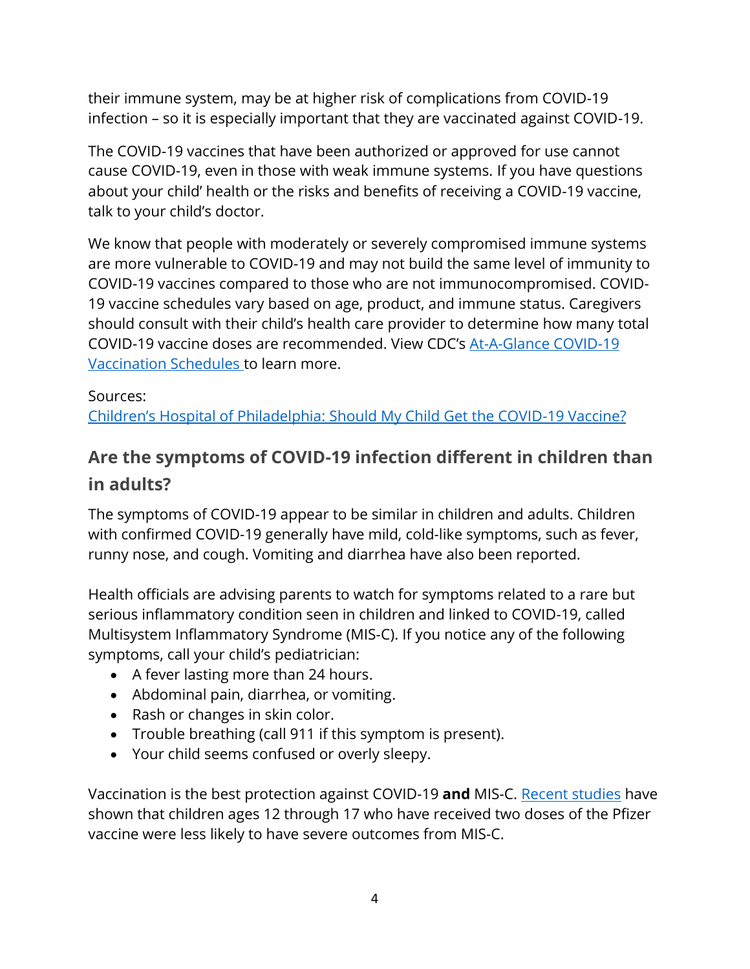their immune system, may be at higher risk of complications from COVID-19 infection – so it is especially important that they are vaccinated against COVID-19.

The COVID-19 vaccines that have been authorized or approved for use cannot cause COVID-19, even in those with weak immune systems. If you have questions about your child' health or the risks and benefits of receiving a COVID-19 vaccine, talk to your child's doctor.

We know that people with moderately or severely compromised immune systems are more vulnerable to COVID-19 and may not build the same level of immunity to COVID-19 vaccines compared to those who are not immunocompromised. COVID-19 vaccine schedules vary based on age, product, and immune status. Caregivers should consult with their child's health care provider to determine how many total COVID-19 vaccine doses are recommended. View CDC's [At-A-Glance COVID-19](https://www.cdc.gov/vaccines/covid-19/downloads/COVID-19-vacc-schedule-at-a-glance-508.pdf)  [Vaccination Schedules t](https://www.cdc.gov/vaccines/covid-19/downloads/COVID-19-vacc-schedule-at-a-glance-508.pdf)o learn more.

#### Sources:

[Children's Hospital of Philadelphia: Should My Child Get the COVID](https://www.chop.edu/news/health-tips/should-my-child-get-covid-19-vaccine)-19 Vaccine?

# <span id="page-3-0"></span>**Are the symptoms of COVID-19 infection different in children than in adults?**

The symptoms of COVID-19 appear to be similar in children and adults. Children with confirmed COVID-19 generally have mild, cold-like symptoms, such as fever, runny nose, and cough. Vomiting and diarrhea have also been reported.

Health officials are advising parents to watch for symptoms related to a rare but serious inflammatory condition seen in children and linked to COVID-19, called Multisystem Inflammatory Syndrome (MIS-C). If you notice any of the following symptoms, call your child's pediatrician:

- A fever lasting more than 24 hours.
- Abdominal pain, diarrhea, or vomiting.
- Rash or changes in skin color.
- Trouble breathing (call 911 if this symptom is present).
- Your child seems confused or overly sleepy.

Vaccination is the best protection against COVID-19 **and** MIS-C. [Recent studies](https://www.cdc.gov/mmwr/volumes/71/wr/mm7102e1.htm) have shown that children ages 12 through 17 who have received two doses of the Pfizer vaccine were less likely to have severe outcomes from MIS-C.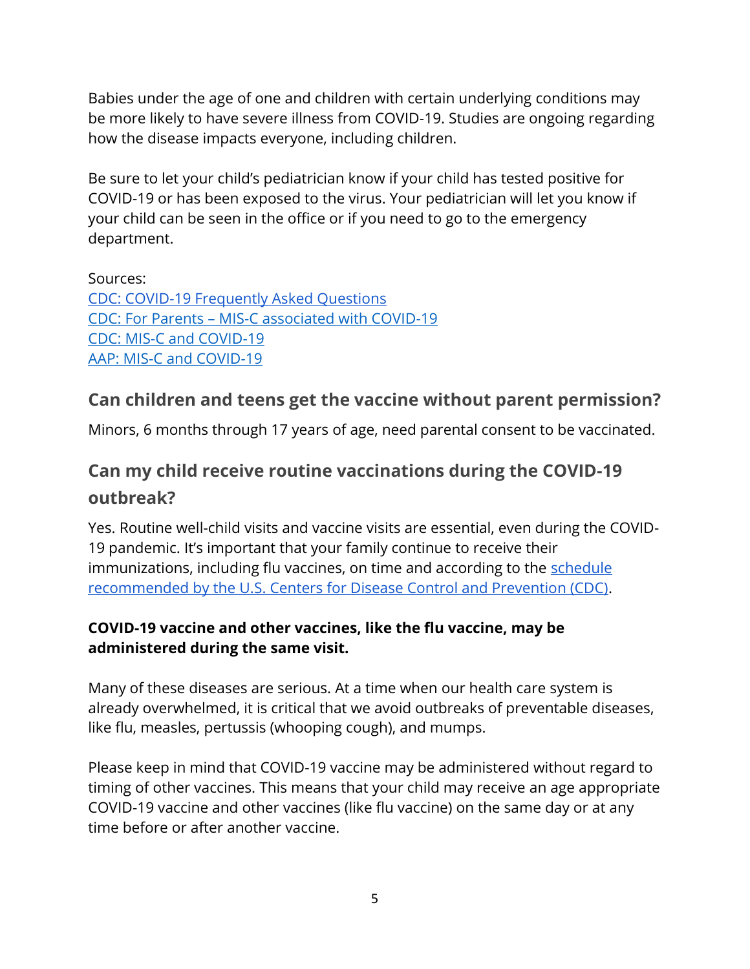Babies under the age of one and children with certain underlying conditions may be more likely to have severe illness from COVID-19. Studies are ongoing regarding how the disease impacts everyone, including children.

Be sure to let your child's pediatrician know if your child has tested positive for COVID-19 or has been exposed to the virus. Your pediatrician will let you know if your child can be seen in the office or if you need to go to the emergency department.

Sources: [CDC: COVID-19 Frequently Asked Questions](https://www.cdc.gov/coronavirus/2019-ncov/faq.html#COVID-19-and-Children) CDC: For Parents – [MIS-C associated with COVID-19](https://www.cdc.gov/coronavirus/2019-ncov/daily-life-coping/children/mis-c.html) [CDC: MIS-C and COVID-19](https://emergency.cdc.gov/han/2020/han00432.asp) [AAP: MIS-C and COVID-19](https://www.aappublications.org/news/2020/05/14/covid19inflammatory051420)

# <span id="page-4-0"></span>**Can children and teens get the vaccine without parent permission?**

<span id="page-4-1"></span>Minors, 6 months through 17 years of age, need parental consent to be vaccinated.

# **Can my child receive routine vaccinations during the COVID-19 outbreak?**

Yes. Routine well-child visits and vaccine visits are essential, even during the COVID-19 pandemic. It's important that your family continue to receive their immunizations, including flu vaccines, on time and according to the schedule [recommended by the U.S. Centers for Disease Control and Prevention \(CDC\).](https://www.cdc.gov/vaccines/schedules/easy-to-read/child-easyread.html)

#### **COVID-19 vaccine and other vaccines, like the flu vaccine, may be administered during the same visit.**

Many of these diseases are serious. At a time when our health care system is already overwhelmed, it is critical that we avoid outbreaks of preventable diseases, like flu, measles, pertussis (whooping cough), and mumps.

Please keep in mind that COVID-19 vaccine may be administered without regard to timing of other vaccines. This means that your child may receive an age appropriate COVID-19 vaccine and other vaccines (like flu vaccine) on the same day or at any time before or after another vaccine.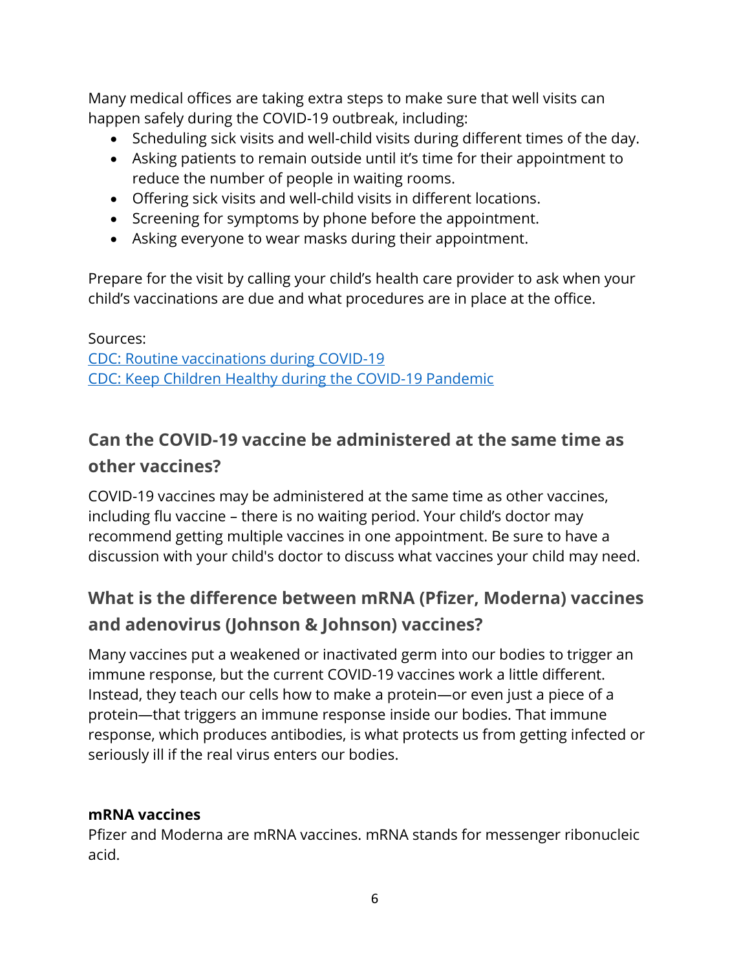Many medical offices are taking extra steps to make sure that well visits can happen safely during the COVID-19 outbreak, including:

- Scheduling sick visits and well-child visits during different times of the day.
- Asking patients to remain outside until it's time for their appointment to reduce the number of people in waiting rooms.
- Offering sick visits and well-child visits in different locations.
- Screening for symptoms by phone before the appointment.
- Asking everyone to wear masks during their appointment.

Prepare for the visit by calling your child's health care provider to ask when your child's vaccinations are due and what procedures are in place at the office.

Sources: [CDC: Routine vaccinations during COVID-19](https://www.cdc.gov/vaccines/parents/visit/vaccination-during-COVID-19.html)

[CDC: Keep Children Healthy during the COVID-19 Pandemic](https://www.cdc.gov/coronavirus/2019-ncov/daily-life-coping/children.html)

# <span id="page-5-0"></span>**Can the COVID-19 vaccine be administered at the same time as other vaccines?**

COVID-19 vaccines may be administered at the same time as other vaccines, including flu vaccine – there is no waiting period. Your child's doctor may recommend getting multiple vaccines in one appointment. Be sure to have a discussion with your child's doctor to discuss what vaccines your child may need.

# <span id="page-5-1"></span>**What is the difference between mRNA (Pfizer, Moderna) vaccines and adenovirus (Johnson & Johnson) vaccines?**

Many vaccines put a weakened or inactivated germ into our bodies to trigger an immune response, but the current COVID-19 vaccines work a little different. Instead, they teach our cells how to make a protein—or even just a piece of a protein—that triggers an immune response inside our bodies. That immune response, which produces antibodies, is what protects us from getting infected or seriously ill if the real virus enters our bodies.

#### **mRNA vaccines**

Pfizer and Moderna are mRNA vaccines. mRNA stands for messenger ribonucleic acid.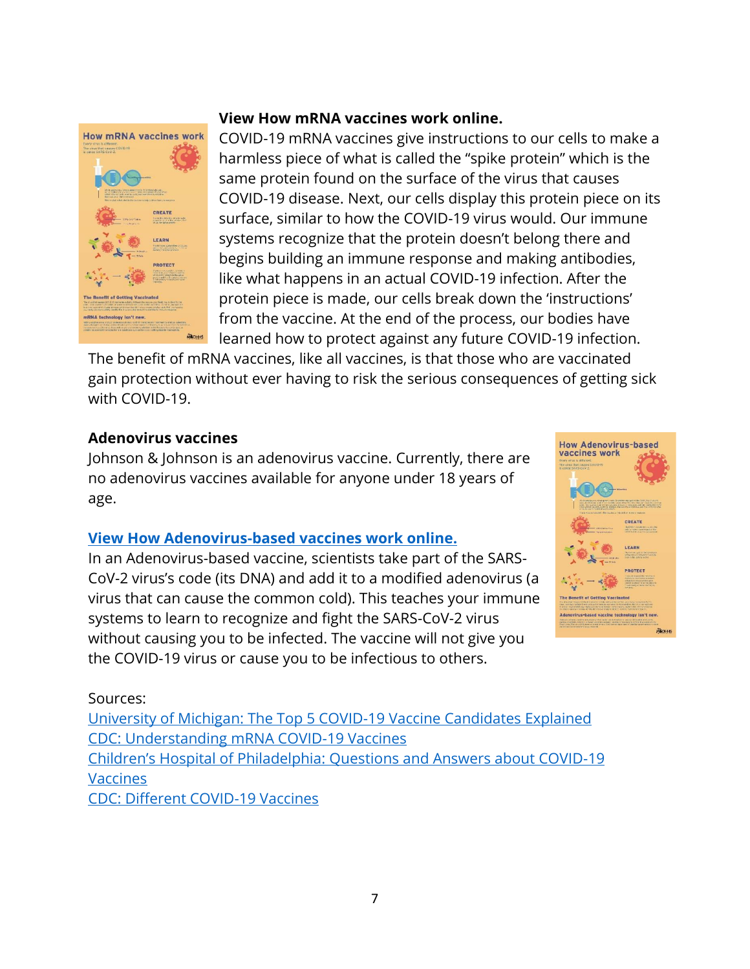

#### **[View How mRNA vaccines work online.](https://www.michigan.gov/documents/coronavirus/2021_MDHHS_COVIDVaccine_mRNA_Infograph_5_719358_7.pdf)**

COVID-19 mRNA vaccines give instructions to our cells to make a harmless piece of what is called the "spike protein" which is the same protein found on the surface of the virus that causes COVID-19 disease. Next, our cells display this protein piece on its surface, similar to how the COVID-19 virus would. Our immune systems recognize that the protein doesn't belong there and begins building an immune response and making antibodies, like what happens in an actual COVID-19 infection. After the protein piece is made, our cells break down the 'instructions' from the vaccine. At the end of the process, our bodies have learned how to protect against any future COVID-19 infection.

The benefit of mRNA vaccines, like all vaccines, is that those who are vaccinated gain protection without ever having to risk the serious consequences of getting sick with COVID-19.

#### **Adenovirus vaccines**

Johnson & Johnson is an adenovirus vaccine. Currently, there are no adenovirus vaccines available for anyone under 18 years of age.

#### **[View How Adenovirus-based vaccines work online.](https://www.michigan.gov/documents/coronavirus/2021_MDHHS_Adenovirus-basedVaccine_Infograph_2.2_719352_7.pdf)**

In an Adenovirus-based vaccine, scientists take part of the SARS-CoV-2 virus's code (its DNA) and add it to a modified adenovirus (a virus that can cause the common cold). This teaches your immune systems to learn to recognize and fight the SARS-CoV-2 virus without causing you to be infected. The vaccine will not give you the COVID-19 virus or cause you to be infectious to others.



#### Sources:

[University of Michigan: The Top 5 COVID-19 Vaccine Candidates Explained](https://labblog.uofmhealth.org/rounds/top-5-covid-19-vaccine-candidates-explained) [CDC: Understanding mRNA COVID-19 Vaccines](https://www.cdc.gov/coronavirus/2019-ncov/vaccines/different-vaccines/mrna.html) [Children's Hospital of Philadelphia: Qu](https://www.chop.edu/centers-programs/vaccine-education-center/making-vaccines/prevent-covid)estions and Answers about COVID-19 [Vaccines](https://www.chop.edu/centers-programs/vaccine-education-center/making-vaccines/prevent-covid) [CDC: Different COVID-19 Vaccines](https://www.cdc.gov/coronavirus/2019-ncov/vaccines/different-vaccines.html)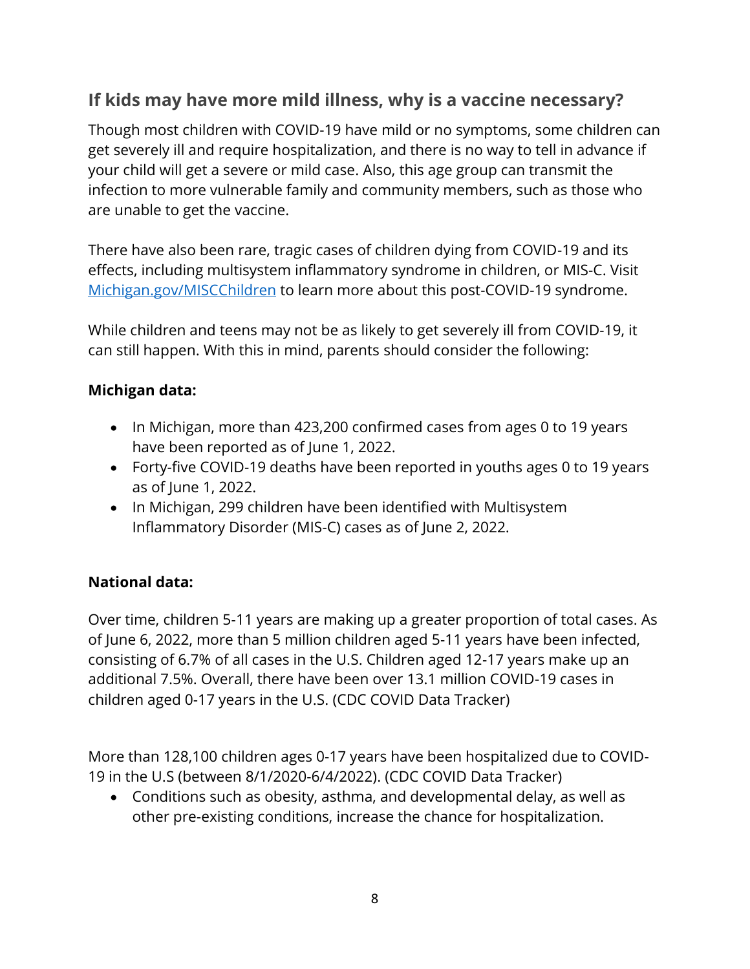# <span id="page-7-0"></span>**If kids may have more mild illness, why is a vaccine necessary?**

Though most children with COVID-19 have mild or no symptoms, some children can get severely ill and require hospitalization, and there is no way to tell in advance if your child will get a severe or mild case. Also, this age group can transmit the infection to more vulnerable family and community members, such as those who are unable to get the vaccine.

There have also been rare, tragic cases of children dying from COVID-19 and its effects, including multisystem inflammatory syndrome in children, or MIS-C. Visit [Michigan.gov/MISCChildren](https://www.michigan.gov/coronavirus/0,9753,7-406-98178_106487---,00.html) to learn more about this post-COVID-19 syndrome.

While children and teens may not be as likely to get severely ill from COVID-19, it can still happen. With this in mind, parents should consider the following:

#### **Michigan data:**

- In Michigan, more than 423,200 confirmed cases from ages 0 to 19 years have been reported as of June 1, 2022.
- Forty-five COVID-19 deaths have been reported in youths ages 0 to 19 years as of June 1, 2022.
- In Michigan, 299 children have been identified with Multisystem Inflammatory Disorder (MIS-C) cases as of June 2, 2022.

#### **National data:**

Over time, children 5-11 years are making up a greater proportion of total cases. As of June 6, 2022, more than 5 million children aged 5-11 years have been infected, consisting of 6.7% of all cases in the U.S. Children aged 12-17 years make up an additional 7.5%. Overall, there have been over 13.1 million COVID-19 cases in children aged 0-17 years in the U.S. (CDC COVID Data Tracker)

More than 128,100 children ages 0-17 years have been hospitalized due to COVID-19 in the U.S (between 8/1/2020-6/4/2022). (CDC COVID Data Tracker)

• Conditions such as obesity, asthma, and developmental delay, as well as other pre-existing conditions, increase the chance for hospitalization.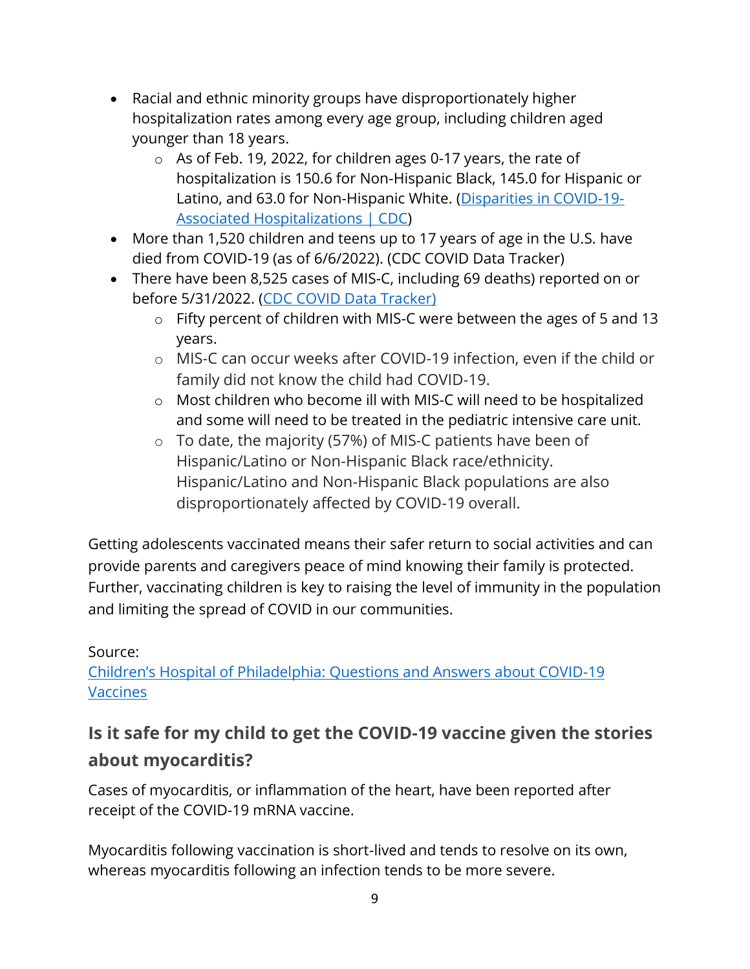- Racial and ethnic minority groups have disproportionately higher hospitalization rates among every age group, including children aged younger than 18 years.
	- o As of Feb. 19, 2022, for children ages 0-17 years, the rate of hospitalization is 150.6 for Non-Hispanic Black, 145.0 for Hispanic or Latino, and 63.0 for Non-Hispanic White. [\(Disparities in COVID-19-](https://www.cdc.gov/coronavirus/2019-ncov/community/health-equity/racial-ethnic-disparities/disparities-hospitalization.html) [Associated Hospitalizations | CDC\)](https://www.cdc.gov/coronavirus/2019-ncov/community/health-equity/racial-ethnic-disparities/disparities-hospitalization.html)
- More than 1,520 children and teens up to 17 years of age in the U.S. have died from COVID-19 (as of 6/6/2022). (CDC COVID Data Tracker)
- There have been 8,525 cases of MIS-C, including 69 deaths) reported on or before 5/31/2022. [\(CDC COVID Data Tracker\)](https://covid.cdc.gov/covid-data-tracker/#mis-national-surveillance)
	- o Fifty percent of children with MIS-C were between the ages of 5 and 13 years.
	- o MIS-C can occur weeks after COVID-19 infection, even if the child or family did not know the child had COVID-19.
	- o Most children who become ill with MIS-C will need to be hospitalized and some will need to be treated in the pediatric intensive care unit.
	- o To date, the majority (57%) of MIS-C patients have been of Hispanic/Latino or Non-Hispanic Black race/ethnicity. Hispanic/Latino and Non-Hispanic Black populations are also disproportionately affected by COVID-19 overall.

Getting adolescents vaccinated means their safer return to social activities and can provide parents and caregivers peace of mind knowing their family is protected. Further, vaccinating children is key to raising the level of immunity in the population and limiting the spread of COVID in our communities.

#### Source:

Children's Hospital of Philadel[phia: Questions and Answers about COVID-19](https://www.chop.edu/centers-programs/vaccine-education-center/making-vaccines/prevent-covid)  [Vaccines](https://www.chop.edu/centers-programs/vaccine-education-center/making-vaccines/prevent-covid)

# <span id="page-8-0"></span>**Is it safe for my child to get the COVID-19 vaccine given the stories about myocarditis?**

Cases of myocarditis, or inflammation of the heart, have been reported after receipt of the COVID-19 mRNA vaccine.

Myocarditis following vaccination is short-lived and tends to resolve on its own, whereas myocarditis following an infection tends to be more severe.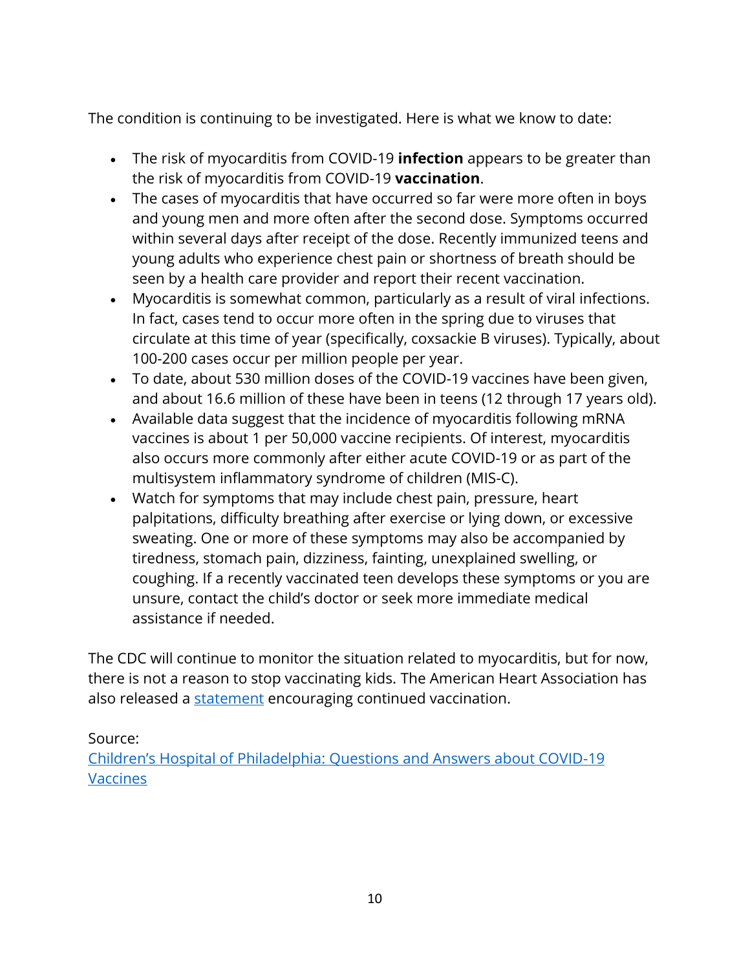The condition is continuing to be investigated. Here is what we know to date:

- The risk of myocarditis from COVID-19 **infection** appears to be greater than the risk of myocarditis from COVID-19 **vaccination**.
- The cases of myocarditis that have occurred so far were more often in boys and young men and more often after the second dose. Symptoms occurred within several days after receipt of the dose. Recently immunized teens and young adults who experience chest pain or shortness of breath should be seen by a health care provider and report their recent vaccination.
- Myocarditis is somewhat common, particularly as a result of viral infections. In fact, cases tend to occur more often in the spring due to viruses that circulate at this time of year (specifically, coxsackie B viruses). Typically, about 100-200 cases occur per million people per year.
- To date, about 530 million doses of the COVID-19 vaccines have been given, and about 16.6 million of these have been in teens (12 through 17 years old).
- Available data suggest that the incidence of myocarditis following mRNA vaccines is about 1 per 50,000 vaccine recipients. Of interest, myocarditis also occurs more commonly after either acute COVID-19 or as part of the multisystem inflammatory syndrome of children (MIS-C).
- Watch for symptoms that may include chest pain, pressure, heart palpitations, difficulty breathing after exercise or lying down, or excessive sweating. One or more of these symptoms may also be accompanied by tiredness, stomach pain, dizziness, fainting, unexplained swelling, or coughing. If a recently vaccinated teen develops these symptoms or you are unsure, contact the child's doctor or seek more immediate medical assistance if needed.

The CDC will continue to monitor the situation related to myocarditis, but for now, there is not a reason to stop vaccinating kids. The American Heart Association has also released a [statement](https://newsroom.heart.org/news/cdc-investigating-rare-myocarditis-in-teens-young-adults-covid-19-vaccine-still-advised-for-all-who-are-eligible) encouraging continued vaccination.

Source:

[Children's Hospital of Philadelphia: Questions and Answers about COVID](https://www.chop.edu/centers-programs/vaccine-education-center/making-vaccines/prevent-covid)-19 [Vaccines](https://www.chop.edu/centers-programs/vaccine-education-center/making-vaccines/prevent-covid)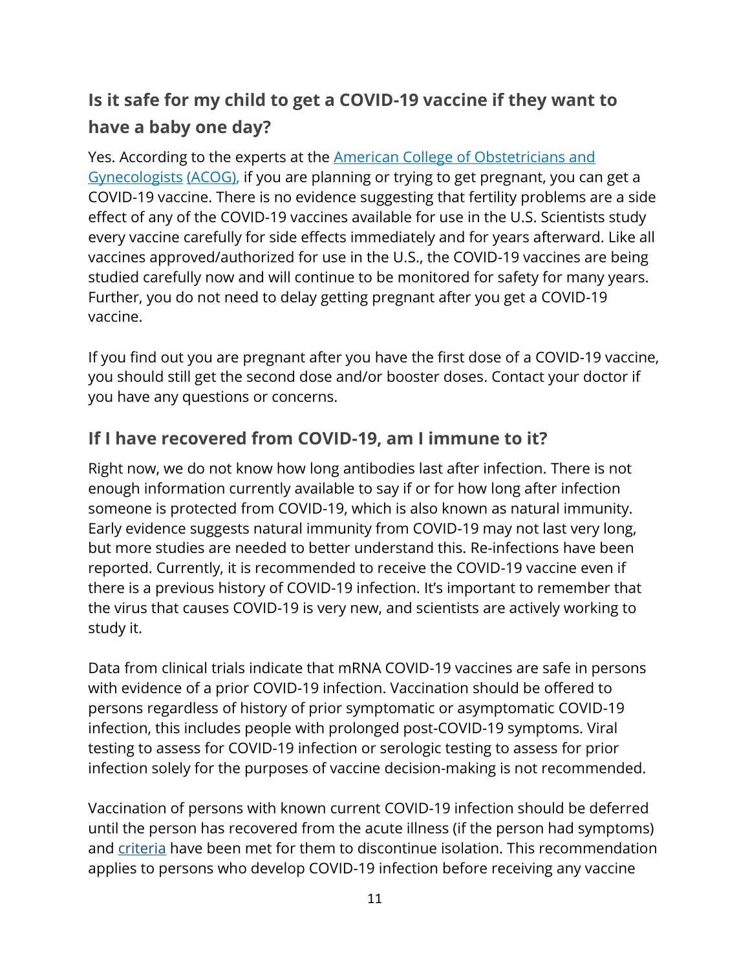# <span id="page-10-0"></span>**Is it safe for my child to get a COVID-19 vaccine if they want to have a baby one day?**

Yes. According to the experts at the **American College of Obstetricians and** [Gynecologists](https://www.acog.org/womens-health/faqs/coronavirus-covid-19-pregnancy-and-breastfeeding) [\(ACOG\),](https://www.acog.org/womens-health/faqs/coronavirus-covid-19-pregnancy-and-breastfeeding) if you are planning or trying to get pregnant, you can get a COVID-19 vaccine. There is no evidence suggesting that fertility problems are a side effect of any of the COVID-19 vaccines available for use in the U.S. Scientists study every vaccine carefully for side effects immediately and for years afterward. Like all vaccines approved/authorized for use in the U.S., the COVID-19 vaccines are being studied carefully now and will continue to be monitored for safety for many years. Further, you do not need to delay getting pregnant after you get a COVID-19 vaccine.

If you find out you are pregnant after you have the first dose of a COVID-19 vaccine, you should still get the second dose and/or booster doses. Contact your doctor if you have any questions or concerns.

### <span id="page-10-1"></span>**If I have recovered from COVID-19, am I immune to it?**

Right now, we do not know how long antibodies last after infection. There is not enough information currently available to say if or for how long after infection someone is protected from COVID-19, which is also known as natural immunity. Early evidence suggests natural immunity from COVID-19 may not last very long, but more studies are needed to better understand this. Re-infections have been reported. Currently, it is recommended to receive the COVID-19 vaccine even if there is a previous history of COVID-19 infection. It's important to remember that the virus that causes COVID-19 is very new, and scientists are actively working to study it.

Data from clinical trials indicate that mRNA COVID-19 vaccines are safe in persons with evidence of a prior COVID-19 infection. Vaccination should be offered to persons regardless of history of prior symptomatic or asymptomatic COVID-19 infection, this includes people with prolonged post-COVID-19 symptoms. Viral testing to assess for COVID-19 infection or serologic testing to assess for prior infection solely for the purposes of vaccine decision-making is not recommended.

Vaccination of persons with known current COVID-19 infection should be deferred until the person has recovered from the acute illness (if the person had symptoms) and [criteria](https://www.cdc.gov/coronavirus/2019-ncov/hcp/disposition-in-home-patients.html) have been met for them to discontinue isolation. This recommendation applies to persons who develop COVID-19 infection before receiving any vaccine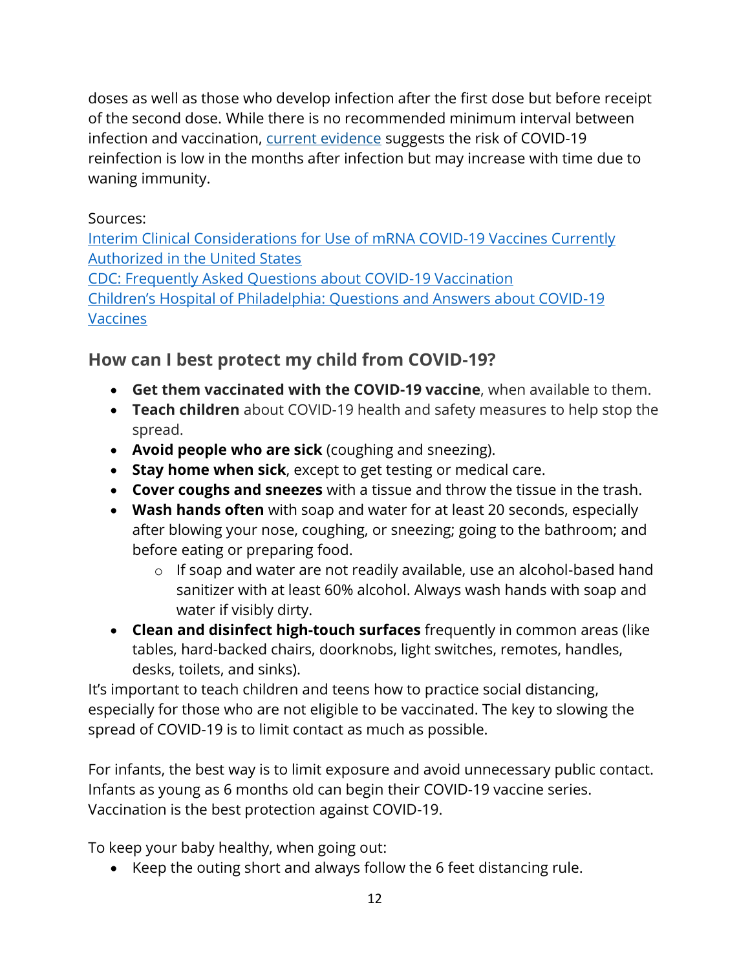doses as well as those who develop infection after the first dose but before receipt of the second dose. While there is no recommended minimum interval between infection and vaccination, [current evidence](https://www.cdc.gov/coronavirus/2019-ncov/hcp/duration-isolation.html) suggests the risk of COVID-19 reinfection is low in the months after infection but may increase with time due to waning immunity.

#### Sources:

[Interim Clinical Considerations for Use of mRNA COVID-19 Vaccines Currently](https://www.cdc.gov/vaccines/covid-19/info-by-product/clinical-considerations.html?CDC_AA_refVal=https%3A%2F%2Fwww.cdc.gov%2Fvaccines%2Fcovid-19%2Finfo-by-product%2Fpfizer%2Fclinical-considerations.html)  [Authorized in the United States](https://www.cdc.gov/vaccines/covid-19/info-by-product/clinical-considerations.html?CDC_AA_refVal=https%3A%2F%2Fwww.cdc.gov%2Fvaccines%2Fcovid-19%2Finfo-by-product%2Fpfizer%2Fclinical-considerations.html)

[CDC: Frequently Asked Questions about COVID-19 Vaccination](https://www.cdc.gov/coronavirus/2019-ncov/vaccines/faq.html) [Children's Hospital of Philadelphia: Questions and Answers about COVID](https://www.chop.edu/centers-programs/vaccine-education-center/making-vaccines/prevent-covid)-19 [Vaccines](https://www.chop.edu/centers-programs/vaccine-education-center/making-vaccines/prevent-covid)

### <span id="page-11-0"></span>**How can I best protect my child from COVID-19?**

- **Get them vaccinated with the COVID-19 vaccine**, when available to them.
- **Teach children** about COVID-19 health and safety measures to help stop the spread.
- **Avoid people who are sick** (coughing and sneezing).
- **Stay home when sick**, except to get testing or medical care.
- **Cover coughs and sneezes** with a tissue and throw the tissue in the trash.
- **Wash hands often** with soap and water for at least 20 seconds, especially after blowing your nose, coughing, or sneezing; going to the bathroom; and before eating or preparing food.
	- o If soap and water are not readily available, use an alcohol-based hand sanitizer with at least 60% alcohol. Always wash hands with soap and water if visibly dirty.
- **Clean and disinfect high-touch surfaces** frequently in common areas (like tables, hard-backed chairs, doorknobs, light switches, remotes, handles, desks, toilets, and sinks).

It's important to teach children and teens how to practice social distancing, especially for those who are not eligible to be vaccinated. The key to slowing the spread of COVID-19 is to limit contact as much as possible.

For infants, the best way is to limit exposure and avoid unnecessary public contact. Infants as young as 6 months old can begin their COVID-19 vaccine series. Vaccination is the best protection against COVID-19.

To keep your baby healthy, when going out:

• Keep the outing short and always follow the 6 feet distancing rule.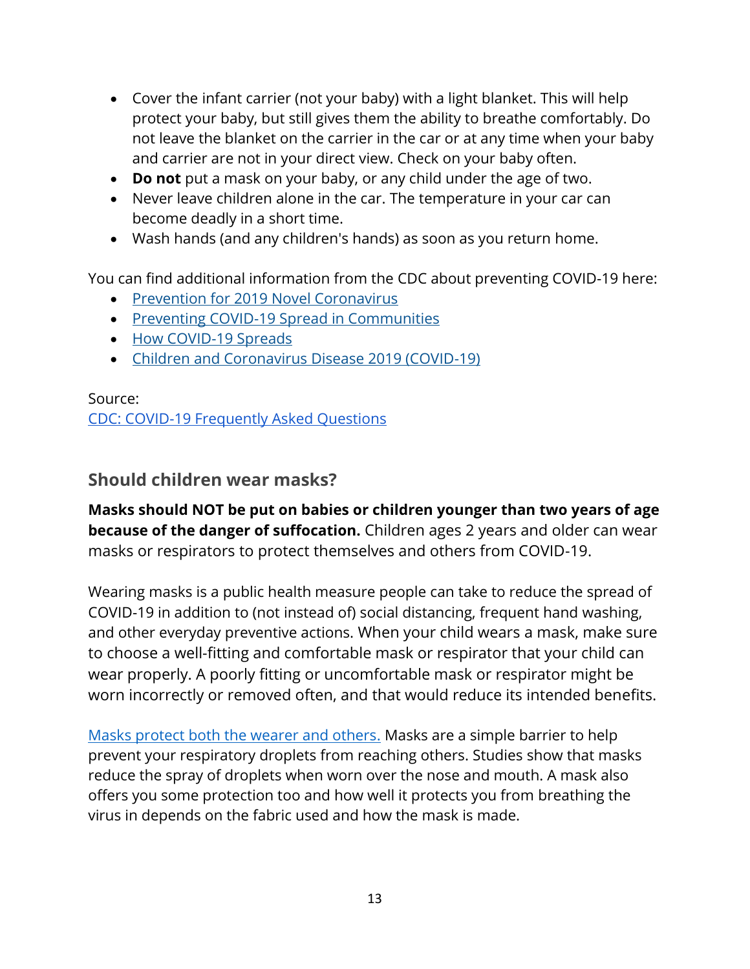- Cover the infant carrier (not your baby) with a light blanket. This will help protect your baby, but still gives them the ability to breathe comfortably. Do not leave the blanket on the carrier in the car or at any time when your baby and carrier are not in your direct view. Check on your baby often.
- **Do not** put a mask on your baby, or any child under the age of two.
- Never leave children alone in the car. The temperature in your car can become deadly in a short time.
- Wash hands (and any children's hands) as soon as you return home.

You can find additional information from the CDC about preventing COVID-19 here:

- [Prevention for 2019 Novel Coronavirus](https://www.cdc.gov/coronavirus/about/prevention.html)
- [Preventing COVID-19 Spread in Communities](https://www.cdc.gov/coronavirus/2019-ncov/community/index.html)
- [How COVID-19 Spreads](https://www.cdc.gov/coronavirus/2019-ncov/about/transmission.html)
- [Children and Coronavirus Disease 2019 \(COVID-19\)](https://www.cdc.gov/coronavirus/2019-ncov/daily-life-coping/children.html)

Source: [CDC: COVID-19 Frequently Asked Questions](https://www.cdc.gov/coronavirus/2019-ncov/faq.html#COVID-19-and-Children)

#### <span id="page-12-0"></span>**Should children wear masks?**

**Masks should NOT be put on babies or children younger than two years of age because of the danger of suffocation.** Children ages 2 years and older can wear masks or respirators to protect themselves and others from COVID-19.

Wearing masks is a public health measure people can take to reduce the spread of COVID-19 in addition to (not instead of) social distancing, frequent hand washing, and other everyday preventive actions. When your child wears a mask, make sure to choose a well-fitting and comfortable mask or respirator that your child can wear properly. A poorly fitting or uncomfortable mask or respirator might be worn incorrectly or removed often, and that would reduce its intended benefits.

[Masks protect both the wearer and others.](https://www.cdc.gov/coronavirus/2019-ncov/prevent-getting-sick/cloth-face-cover-guidance.html) Masks are a simple barrier to help prevent your respiratory droplets from reaching others. Studies show that masks reduce the spray of droplets when worn over the nose and mouth. A mask also offers you some protection too and how well it protects you from breathing the virus in depends on the fabric used and how the mask is made.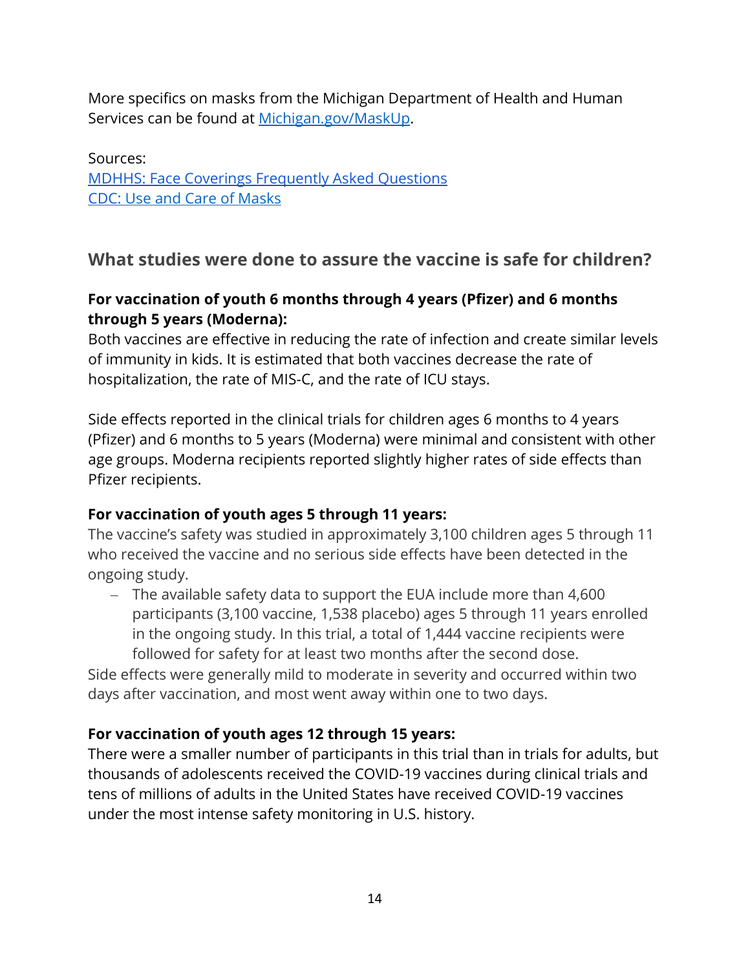More specifics on masks from the Michigan Department of Health and Human Services can be found at [Michigan.gov/MaskUp.](http://www.michigan.gov/maskup)

Sources: [MDHHS: Face Coverings Frequently Asked Questions](https://www.michigan.gov/documents/coronavirus/Face_Coverings_Guidance_for_non-healthcare_workers_Final_685949_7.pdf) CDC: [Use and Care of Masks](https://www.cdc.gov/coronavirus/2019-ncov/prevent-getting-sick/about-face-coverings.html?CDC_AA_refVal=https%3A%2F%2Fwww.cdc.gov%2Fcoronavirus%2F2019-ncov%2Fprevent-getting-sick%2Fcloth-face-cover-guidance.html)

#### <span id="page-13-0"></span>**What studies were done to assure the vaccine is safe for children?**

#### **For vaccination of youth 6 months through 4 years (Pfizer) and 6 months through 5 years (Moderna):**

Both vaccines are effective in reducing the rate of infection and create similar levels of immunity in kids. It is estimated that both vaccines decrease the rate of hospitalization, the rate of MIS-C, and the rate of ICU stays.

Side effects reported in the clinical trials for children ages 6 months to 4 years (Pfizer) and 6 months to 5 years (Moderna) were minimal and consistent with other age groups. Moderna recipients reported slightly higher rates of side effects than Pfizer recipients.

#### **For vaccination of youth ages 5 through 11 years:**

The vaccine's safety was studied in approximately 3,100 children ages 5 through 11 who received the vaccine and no serious side effects have been detected in the ongoing study.

− The available safety data to support the EUA include more than 4,600 participants (3,100 vaccine, 1,538 placebo) ages 5 through 11 years enrolled in the ongoing study. In this trial, a total of 1,444 vaccine recipients were followed for safety for at least two months after the second dose.

Side effects were generally mild to moderate in severity and occurred within two days after vaccination, and most went away within one to two days.

#### **For vaccination of youth ages 12 through 15 years:**

There were a smaller number of participants in this trial than in trials for adults, but thousands of adolescents received the COVID-19 vaccines during clinical trials and tens of millions of adults in the United States have received COVID-19 vaccines under the most intense safety monitoring in U.S. history.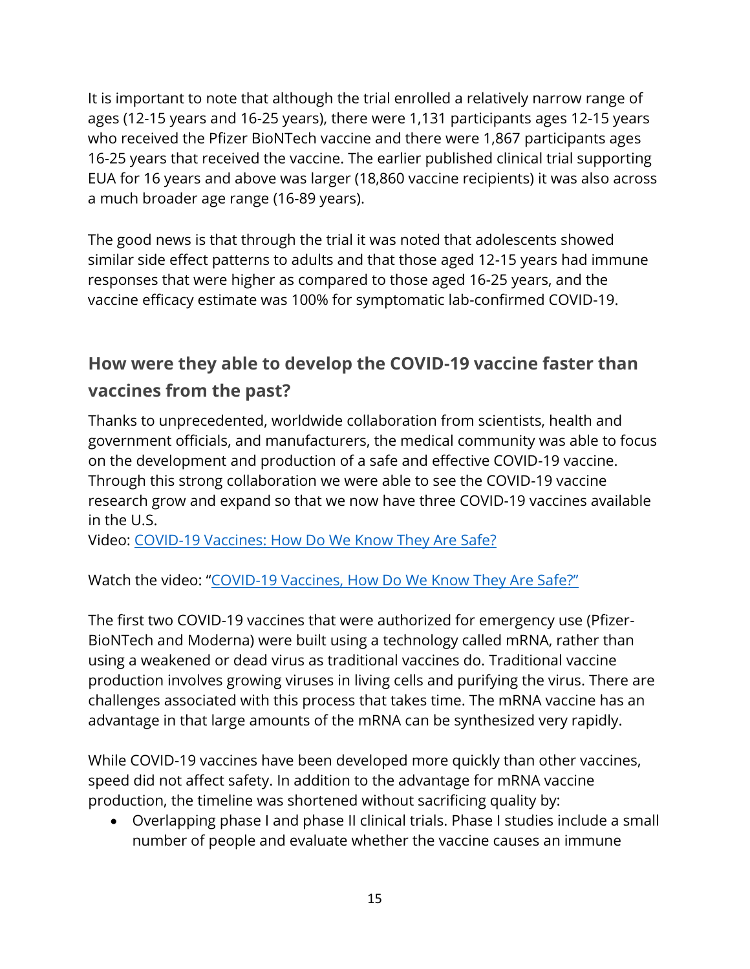It is important to note that although the trial enrolled a relatively narrow range of ages (12-15 years and 16-25 years), there were 1,131 participants ages 12-15 years who received the Pfizer BioNTech vaccine and there were 1,867 participants ages 16-25 years that received the vaccine. The earlier published clinical trial supporting EUA for 16 years and above was larger (18,860 vaccine recipients) it was also across a much broader age range (16-89 years).

The good news is that through the trial it was noted that adolescents showed similar side effect patterns to adults and that those aged 12-15 years had immune responses that were higher as compared to those aged 16-25 years, and the vaccine efficacy estimate was 100% for symptomatic lab-confirmed COVID-19.

# <span id="page-14-0"></span>**How were they able to develop the COVID-19 vaccine faster than vaccines from the past?**

Thanks to unprecedented, worldwide collaboration from scientists, health and government officials, and manufacturers, the medical community was able to focus on the development and production of a safe and effective COVID-19 vaccine. Through this strong collaboration we were able to see the COVID-19 vaccine research grow and expand so that we now have three COVID-19 vaccines available in the U.S.

Video: [COVID-19 Vaccines: How Do We](https://youtu.be/7bBmQaX2k4w) Know They Are Safe?

Watch the video: "[COVID-19 Vaccines, How Do We Know](https://youtu.be/7bBmQaX2k4w) They Are Safe?"

The first two COVID-19 vaccines that were authorized for emergency use (Pfizer-BioNTech and Moderna) were built using a technology called mRNA, rather than using a weakened or dead virus as traditional vaccines do. Traditional vaccine production involves growing viruses in living cells and purifying the virus. There are challenges associated with this process that takes time. The mRNA vaccine has an advantage in that large amounts of the mRNA can be synthesized very rapidly.

While COVID-19 vaccines have been developed more quickly than other vaccines, speed did not affect safety. In addition to the advantage for mRNA vaccine production, the timeline was shortened without sacrificing quality by:

• Overlapping phase I and phase II clinical trials. Phase I studies include a small number of people and evaluate whether the vaccine causes an immune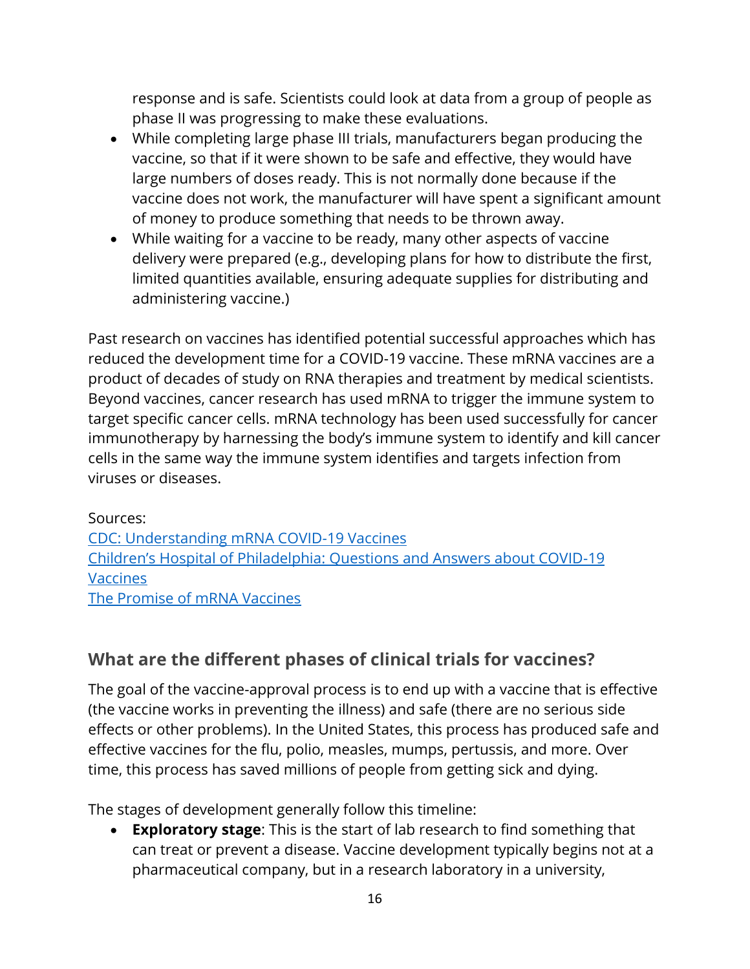response and is safe. Scientists could look at data from a group of people as phase II was progressing to make these evaluations.

- While completing large phase III trials, manufacturers began producing the vaccine, so that if it were shown to be safe and effective, they would have large numbers of doses ready. This is not normally done because if the vaccine does not work, the manufacturer will have spent a significant amount of money to produce something that needs to be thrown away.
- While waiting for a vaccine to be ready, many other aspects of vaccine delivery were prepared (e.g., developing plans for how to distribute the first, limited quantities available, ensuring adequate supplies for distributing and administering vaccine.)

Past research on vaccines has identified potential successful approaches which has reduced the development time for a COVID-19 vaccine. These mRNA vaccines are a product of decades of study on RNA therapies and treatment by medical scientists. Beyond vaccines, cancer research has used mRNA to trigger the immune system to target specific cancer cells. mRNA technology has been used successfully for cancer immunotherapy by harnessing the body's immune system to identify and kill cancer cells in the same way the immune system identifies and targets infection from viruses or diseases.

Sources: [CDC: Understanding mRNA COVID-19 Vaccines](https://www.cdc.gov/coronavirus/2019-ncov/vaccines/different-vaccines/mrna.html) [Children's Hospital of Philadelphia: Questions and Answers about COVID](https://www.chop.edu/centers-programs/vaccine-education-center/making-vaccines/prevent-covid)-19 **[Vaccines](https://www.chop.edu/centers-programs/vaccine-education-center/making-vaccines/prevent-covid)** [The Promise of mRNA Vaccines](https://www.the-scientist.com/news-opinion/the-promise-of-mrna-vaccines-68202)

# <span id="page-15-0"></span>**What are the different phases of clinical trials for vaccines?**

The goal of the vaccine-approval process is to end up with a vaccine that is effective (the vaccine works in preventing the illness) and safe (there are no serious side effects or other problems). In the United States, this process has produced safe and effective vaccines for the flu, polio, measles, mumps, pertussis, and more. Over time, this process has saved millions of people from getting sick and dying.

The stages of development generally follow this timeline:

• **Exploratory stage**: This is the start of lab research to find something that can treat or prevent a disease. Vaccine development typically begins not at a pharmaceutical company, but in a research laboratory in a university,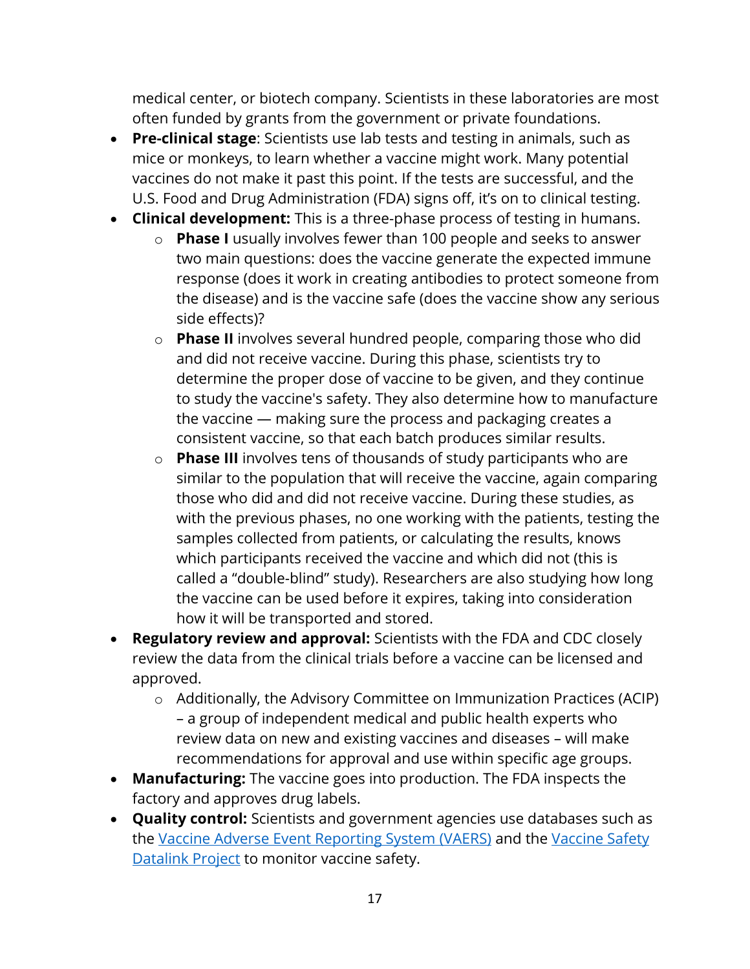medical center, or biotech company. Scientists in these laboratories are most often funded by grants from the government or private foundations.

- **Pre-clinical stage**: Scientists use lab tests and testing in animals, such as mice or monkeys, to learn whether a vaccine might work. Many potential vaccines do not make it past this point. If the tests are successful, and the U.S. Food and Drug Administration (FDA) signs off, it's on to clinical testing.
- **Clinical development:** This is a three-phase process of testing in humans.
	- o **Phase I** usually involves fewer than 100 people and seeks to answer two main questions: does the vaccine generate the expected immune response (does it work in creating antibodies to protect someone from the disease) and is the vaccine safe (does the vaccine show any serious side effects)?
	- o **Phase II** involves several hundred people, comparing those who did and did not receive vaccine. During this phase, scientists try to determine the proper dose of vaccine to be given, and they continue to study the vaccine's safety. They also determine how to manufacture the vaccine — making sure the process and packaging creates a consistent vaccine, so that each batch produces similar results.
	- o **Phase III** involves tens of thousands of study participants who are similar to the population that will receive the vaccine, again comparing those who did and did not receive vaccine. During these studies, as with the previous phases, no one working with the patients, testing the samples collected from patients, or calculating the results, knows which participants received the vaccine and which did not (this is called a "double-blind" study). Researchers are also studying how long the vaccine can be used before it expires, taking into consideration how it will be transported and stored.
- **Regulatory review and approval:** Scientists with the FDA and CDC closely review the data from the clinical trials before a vaccine can be licensed and approved.
	- o Additionally, the Advisory Committee on Immunization Practices (ACIP) – a group of independent medical and public health experts who review data on new and existing vaccines and diseases – will make recommendations for approval and use within specific age groups.
- **Manufacturing:** The vaccine goes into production. The FDA inspects the factory and approves drug labels.
- **Quality control:** Scientists and government agencies use databases such as the [Vaccine Adverse Event Reporting System](https://vaers.hhs.gov/) (VAERS) and the [Vaccine Safety](https://www.cdc.gov/vaccinesafety/ensuringsafety/monitoring/vsd/index.html)  [Datalink Project](https://www.cdc.gov/vaccinesafety/ensuringsafety/monitoring/vsd/index.html) to monitor vaccine safety.